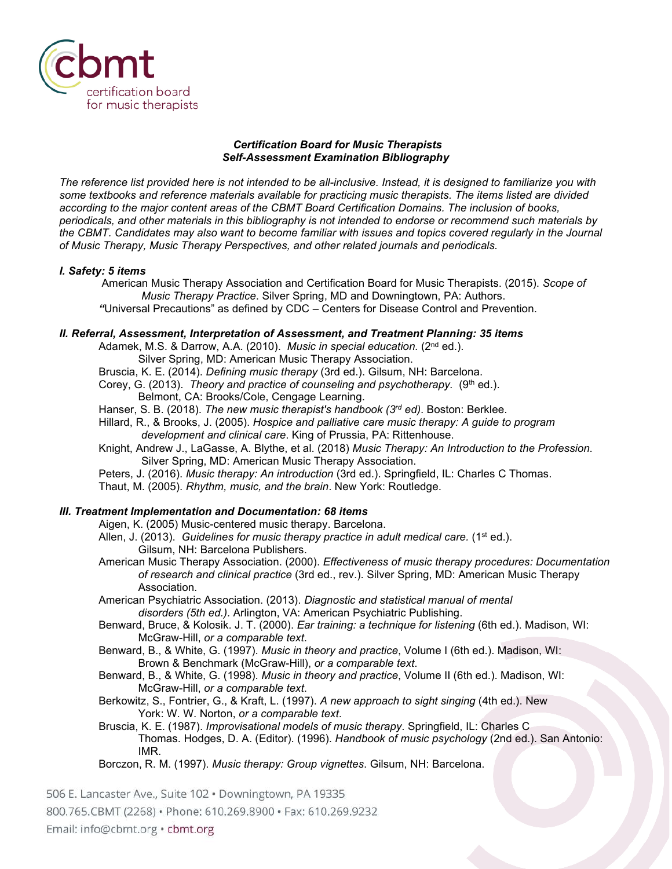

### *Certification Board for Music Therapists Self-Assessment Examination Bibliography*

*The reference list provided here is not intended to be all-inclusive. Instead, it is designed to familiarize you with some textbooks and reference materials available for practicing music therapists. The items listed are divided according to the major content areas of the CBMT Board Certification Domains. The inclusion of books, periodicals, and other materials in this bibliography is not intended to endorse or recommend such materials by the CBMT. Candidates may also want to become familiar with issues and topics covered regularly in the Journal of Music Therapy, Music Therapy Perspectives, and other related journals and periodicals.* 

# *I. Safety: 5 items*

American Music Therapy Association and Certification Board for Music Therapists. (2015). *Scope of Music Therapy Practice*. Silver Spring, MD and Downingtown, PA: Authors.

*"*Universal Precautions" as defined by CDC – Centers for Disease Control and Prevention.

# *II. Referral, Assessment, Interpretation of Assessment, and Treatment Planning: 35 items*

Adamek, M.S. & Darrow, A.A. (2010). *Music in special education.* (2<sup>nd</sup> ed.).

Silver Spring, MD: American Music Therapy Association.

Bruscia, K. E. (2014). *Defining music therapy* (3rd ed.). Gilsum, NH: Barcelona.

Corey, G. (2013). *Theory and practice of counseling and psychotherapy.* (9<sup>th</sup> ed.). Belmont, CA: Brooks/Cole, Cengage Learning.

Hanser, S. B. (2018). *The new music therapist's handbook (3rd ed)*. Boston: Berklee.

- Hillard, R., & Brooks, J. (2005). *Hospice and palliative care music therapy: A guide to program development and clinical care*. King of Prussia, PA: Rittenhouse.
- Knight, Andrew J., LaGasse, A. Blythe, et al. (2018) *Music Therapy: An Introduction to the Profession*. Silver Spring, MD: American Music Therapy Association.
- Peters, J. (2016). *Music therapy: An introduction* (3rd ed.). Springfield, IL: Charles C Thomas.

Thaut, M. (2005). *Rhythm, music, and the brain*. New York: Routledge.

# *III. Treatment Implementation and Documentation: 68 items*

Aigen, K. (2005) Music-centered music therapy. Barcelona.

- Allen, J. (2013). *Guidelines for music therapy practice in adult medical care.* (1<sup>st ed.).</sup> Gilsum, NH: Barcelona Publishers.
- American Music Therapy Association. (2000). *Effectiveness of music therapy procedures: Documentation of research and clinical practice* (3rd ed., rev.). Silver Spring, MD: American Music Therapy Association.
- American Psychiatric Association. (2013). *Diagnostic and statistical manual of mental disorders (5th ed.).* Arlington, VA: American Psychiatric Publishing.

Benward, Bruce, & Kolosik. J. T. (2000). *Ear training: a technique for listening* (6th ed.). Madison, WI: McGraw-Hill, *or a comparable text*.

Benward, B., & White, G. (1997). *Music in theory and practice*, Volume I (6th ed.). Madison, WI: Brown & Benchmark (McGraw-Hill), *or a comparable text*.

Benward, B., & White, G. (1998). *Music in theory and practice*, Volume II (6th ed.). Madison, WI: McGraw-Hill, *or a comparable text*.

Berkowitz, S., Fontrier, G., & Kraft, L. (1997). *A new approach to sight singing* (4th ed.). New York: W. W. Norton, *or a comparable text*.

Bruscia, K. E. (1987). *Improvisational models of music therapy*. Springfield, IL: Charles C Thomas. Hodges, D. A. (Editor). (1996). *Handbook of music psychology* (2nd ed.). San Antonio: IMR.

Borczon, R. M. (1997). *Music therapy: Group vignettes*. Gilsum, NH: Barcelona.

506 E. Lancaster Ave., Suite 102 · Downingtown, PA 19335

800.765.CBMT (2268) · Phone: 610.269.8900 · Fax: 610.269.9232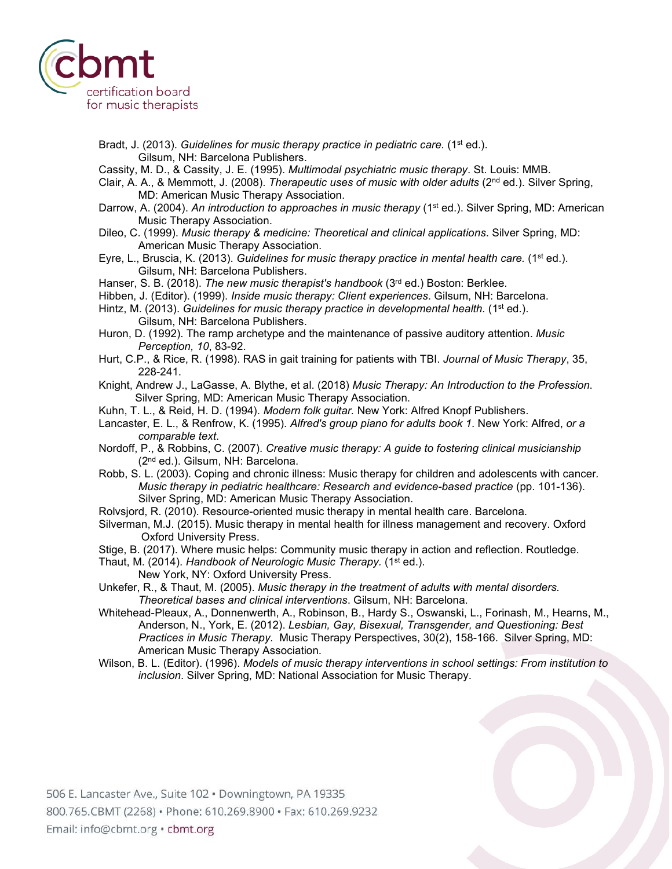

- Bradt, J. (2013). *Guidelines for music therapy practice in pediatric care.* (1<sup>st</sup> ed.). Gilsum, NH: Barcelona Publishers.
- Cassity, M. D., & Cassity, J. E. (1995). *Multimodal psychiatric music therapy*. St. Louis: MMB.
- Clair, A. A., & Memmott, J. (2008). *Therapeutic uses of music with older adults* (2nd ed.). Silver Spring, MD: American Music Therapy Association.
- Darrow, A. (2004). An introduction to approaches in music therapy (1<sup>st</sup> ed.). Silver Spring, MD: American Music Therapy Association.

Dileo, C. (1999). *Music therapy & medicine: Theoretical and clinical applications*. Silver Spring, MD: American Music Therapy Association.

Eyre, L., Bruscia, K. (2013). *Guidelines for music therapy practice in mental health care.* (1st ed.). Gilsum, NH: Barcelona Publishers.

Hanser, S. B. (2018). *The new music therapist's handbook* (3rd ed.) Boston: Berklee.

- Hibben, J. (Editor). (1999). *Inside music therapy: Client experiences*. Gilsum, NH: Barcelona.
- Hintz, M. (2013). *Guidelines for music therapy practice in developmental health.* (1<sup>st</sup> ed.). Gilsum, NH: Barcelona Publishers.
- Huron, D. (1992). The ramp archetype and the maintenance of passive auditory attention. *Music Perception, 10*, 83-92.
- Hurt, C.P., & Rice, R. (1998). RAS in gait training for patients with TBI. *Journal of Music Therapy*, 35, 228-241.
- Knight, Andrew J., LaGasse, A. Blythe, et al. (2018) *Music Therapy: An Introduction to the Profession*. Silver Spring, MD: American Music Therapy Association.
- Kuhn, T. L., & Reid, H. D. (1994). *Modern folk guitar.* New York: Alfred Knopf Publishers.
- Lancaster, E. L., & Renfrow, K. (1995). *Alfred's group piano for adults book 1*. New York: Alfred, *or a comparable text*.
- Nordoff, P., & Robbins, C. (2007). *Creative music therapy: A guide to fostering clinical musicianship* (2nd ed.). Gilsum, NH: Barcelona.
- Robb, S. L. (2003). Coping and chronic illness: Music therapy for children and adolescents with cancer*. Music therapy in pediatric healthcare: Research and evidence-based practice* (pp. 101-136). Silver Spring, MD: American Music Therapy Association.
- Rolvsjord, R. (2010). Resource-oriented music therapy in mental health care. Barcelona.
- Silverman, M.J. (2015). Music therapy in mental health for illness management and recovery. Oxford Oxford University Press.
- Stige, B. (2017). Where music helps: Community music therapy in action and reflection. Routledge.
- Thaut, M. (2014). *Handbook of Neurologic Music Therapy.* (1st ed.). New York, NY: Oxford University Press.
- Unkefer, R., & Thaut, M. (2005). *Music therapy in the treatment of adults with mental disorders. Theoretical bases and clinical interventions*. Gilsum, NH: Barcelona.
- Whitehead-Pleaux, A., Donnenwerth, A., Robinson, B., Hardy S., Oswanski, L., Forinash, M., Hearns, M., Anderson, N., York, E. (2012). *Lesbian, Gay, Bisexual, Transgender, and Questioning: Best Practices in Music Therapy.* Music Therapy Perspectives, 30(2), 158-166. Silver Spring, MD: American Music Therapy Association.
- Wilson, B. L. (Editor). (1996). *Models of music therapy interventions in school settings: From institution to inclusion*. Silver Spring, MD: National Association for Music Therapy.